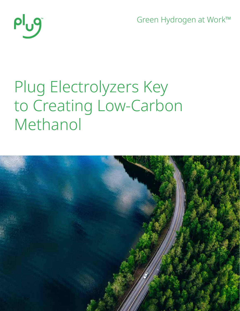Green Hydrogen at Work™



# Plug Electrolyzers Key to Creating Low-Carbon Methanol

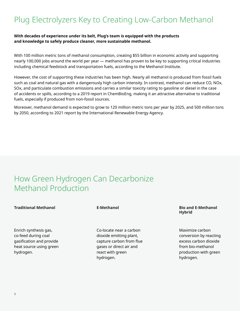# Plug Electrolyzers Key to Creating Low-Carbon Methanol

### **With decades of experience under its belt, Plug's team is equipped with the products and knowledge to safely produce cleaner, more sustainable methanol.**

With 100 million metric tons of methanol consumption, creating \$55 billion in economic activity and supporting nearly 100,000 jobs around the world per year — methanol has proven to be key to supporting critical industries including chemical feedstock and transportation fuels, according to the Methanol Institute.

However, the cost of supporting these industries has been high. Nearly all methanol is produced from fossil fuels such as coal and natural gas with a dangerously high carbon intensity. In contrast, methanol can reduce CO, NOx, SOx, and particulate combustion emissions and carries a similar toxicity rating to gasoline or diesel in the case of accidents or spills, according to a 2019 report in ChemBioEng, making it an attractive alternative to traditional fuels, especially if produced from non-fossil sources.

Moreover, methanol demand is expected to grow to 120 million metric tons per year by 2025, and 500 million tons by 2050, according to 2021 report by the International Renewable Energy Agency.

## How Green Hydrogen Can Decarbonize Methanol Production

#### **Traditional Methanol Bio and E-Methanol**

Enrich synthesis gas, co-feed during coal gasification and provide heat source using green hydrogen.

#### **E-Methanol**

Co-locate near a carbon dioxide emitting plant, capture carbon from flue gases or direct air and react with green hydrogen.

## **Hybrid**

Maximize carbon conversion by reacting excess carbon dioxide from bio-methanol production with green hydrogen.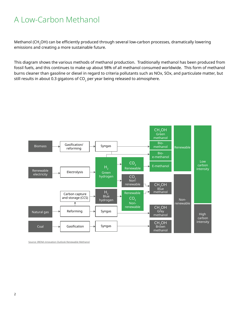# A Low-Carbon Methanol

Methanol (CH<sub>3</sub>OH) can be efficiently produced through several low-carbon processes, dramatically lowering emissions and creating a more sustainable future.

This diagram shows the various methods of methanol production. Traditionally methanol has been produced from fossil fuels, and this continues to make up about 98% of all methanol consumed worldwide. This form of methanol burns cleaner than gasoline or diesel in regard to criteria pollutants such as NOx, SOx, and particulate matter, but still results in about 0.3 gigatons of  $CO<sub>2</sub>$  per year being released to atmosphere.



Source: IRENA innovation Outlook Renewable Methanol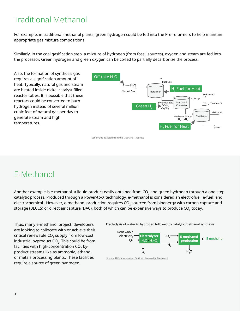# Traditional Methanol

For example, in traditional methanol plants, green hydrogen could be fed into the Pre-reformers to help maintain appropriate gas mixture compositions.

Similarly, in the coal gasification step, a mixture of hydrogen (from fossil sources), oxygen and steam are fed into the processor. Green hydrogen and green oxygen can be co-fed to partially decarbonize the process.

Also, the formation of synthesis gas requires a signification amount of heat. Typically, natural gas and steam are heated inside nickel catalyst filled reactor tubes. It is possible that these reactors could be converted to burn hydrogen instead of several million cubic feet of natural gas per day to generate steam and high temperatures.



Schematic adapted from the Methanol Institute

# E-Methanol

Another example is e-methanol, a liquid product easily obtained from  $CO<sub>2</sub>$  and green hydrogen through a one-step catalytic process. Produced through a Power-to-X technology, e-methanol is considered an electrofuel (e-fuel) and electrochemical. However, e-methanol production requires CO<sub>2</sub> sourced from bioenergy with carbon capture and storage (BECCS) or direct air capture (DAC), both of which can be expensive ways to produce CO<sub>2</sub> today.

Thus, many e-methanol project developers are looking to collocate with or achieve their critical renewable CO<sub>2</sub> supply from low-cost industrial byproduct CO<sub>2</sub>. This could be from facilities with high-concentration  $CO<sub>2</sub>$  byproduct streams like as ammonia, ethanol, or metals processing plants. These facilities require a source of green hydrogen.

Electrolysis of water to hydrogen followed by catalytic methanol synthesis



Source: IRENA innovation Outlook Renewable Methanol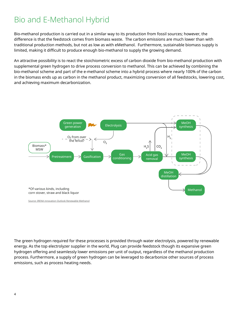# Bio and E-Methanol Hybrid

Bio-methanol production is carried out in a similar way to its production from fossil sources; however, the difference is that the feedstock comes from biomass waste. The carbon emissions are much lower than with traditional production methods, but not as low as with eMethanol. Furthermore, sustainable biomass supply is limited, making it difficult to produce enough bio-methanol to supply the growing demand.

An attractive possibility is to react the stoichiometric excess of carbon dioxide from bio-methanol production with supplemental green hydrogen to drive process conversion to methanol. This can be achieved by combining the bio-methanol scheme and part of the e-methanol scheme into a hybrid process where nearly 100% of the carbon in the biomass ends up as carbon in the methanol product, maximizing conversion of all feedstocks, lowering cost, and achieving maximum decarbonization.



Source: IRENA innovation Outlook Renewable Methanol

The green hydrogen required for these processes is provided through water electrolysis, powered by renewable energy. As the top electrolyzer supplier in the world, Plug can provide feedstock though its expansive green hydrogen offering and seamlessly lower emissions per unit of output, regardless of the methanol production process. Furthermore, a supply of green hydrogen can be leveraged to decarbonize other sources of process emissions, such as process heating needs.